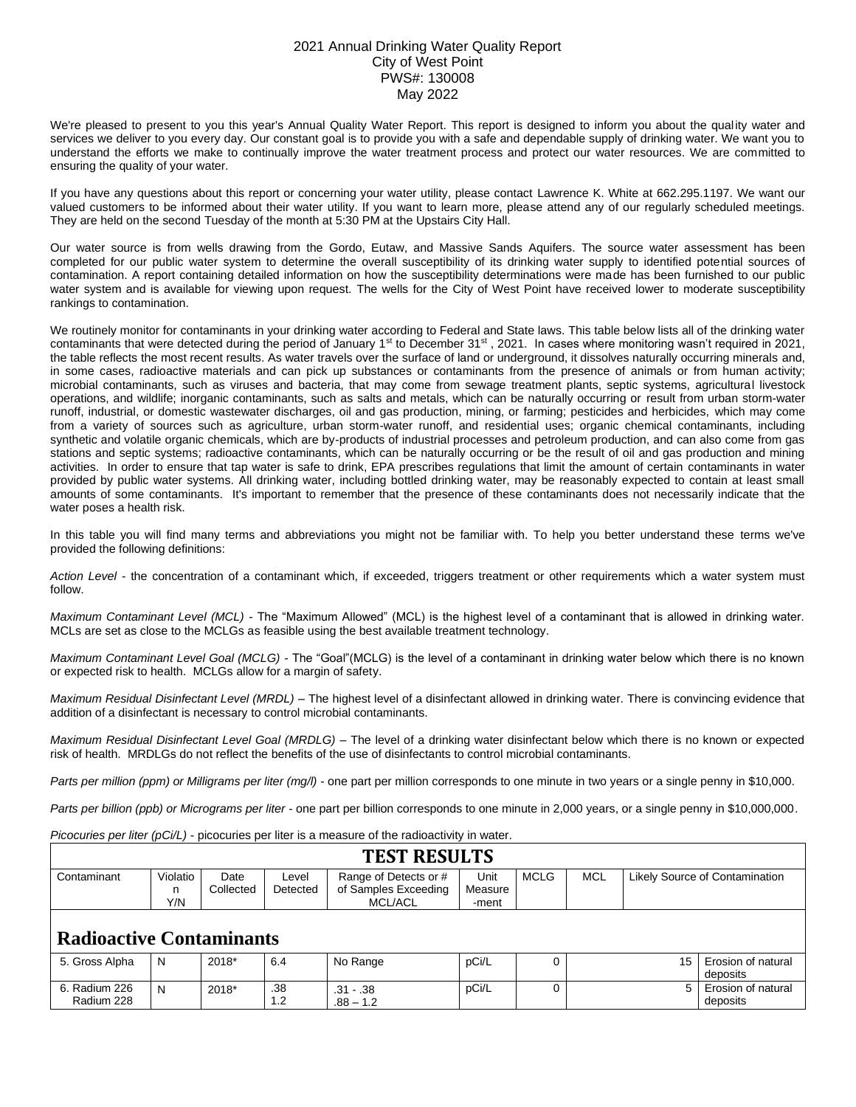## 2021 Annual Drinking Water Quality Report City of West Point PWS#: 130008 May 2022

We're pleased to present to you this year's Annual Quality Water Report. This report is designed to inform you about the quality water and services we deliver to you every day. Our constant goal is to provide you with a safe and dependable supply of drinking water. We want you to understand the efforts we make to continually improve the water treatment process and protect our water resources. We are committed to ensuring the quality of your water.

If you have any questions about this report or concerning your water utility, please contact Lawrence K. White at 662.295.1197. We want our valued customers to be informed about their water utility. If you want to learn more, please attend any of our regularly scheduled meetings. They are held on the second Tuesday of the month at 5:30 PM at the Upstairs City Hall.

Our water source is from wells drawing from the Gordo, Eutaw, and Massive Sands Aquifers. The source water assessment has been completed for our public water system to determine the overall susceptibility of its drinking water supply to identified potential sources of contamination. A report containing detailed information on how the susceptibility determinations were made has been furnished to our public water system and is available for viewing upon request. The wells for the City of West Point have received lower to moderate susceptibility rankings to contamination.

We routinely monitor for contaminants in your drinking water according to Federal and State laws. This table below lists all of the drinking water contaminants that were detected during the period of January 1<sup>st</sup> to December 31<sup>st</sup>, 2021. In cases where monitoring wasn't required in 2021, the table reflects the most recent results. As water travels over the surface of land or underground, it dissolves naturally occurring minerals and, in some cases, radioactive materials and can pick up substances or contaminants from the presence of animals or from human activity; microbial contaminants, such as viruses and bacteria, that may come from sewage treatment plants, septic systems, agricultural livestock operations, and wildlife; inorganic contaminants, such as salts and metals, which can be naturally occurring or result from urban storm-water runoff, industrial, or domestic wastewater discharges, oil and gas production, mining, or farming; pesticides and herbicides, which may come from a variety of sources such as agriculture, urban storm-water runoff, and residential uses; organic chemical contaminants, including synthetic and volatile organic chemicals, which are by-products of industrial processes and petroleum production, and can also come from gas stations and septic systems; radioactive contaminants, which can be naturally occurring or be the result of oil and gas production and mining activities. In order to ensure that tap water is safe to drink, EPA prescribes regulations that limit the amount of certain contaminants in water provided by public water systems. All drinking water, including bottled drinking water, may be reasonably expected to contain at least small amounts of some contaminants. It's important to remember that the presence of these contaminants does not necessarily indicate that the water poses a health risk.

In this table you will find many terms and abbreviations you might not be familiar with. To help you better understand these terms we've provided the following definitions:

*Action Level* - the concentration of a contaminant which, if exceeded, triggers treatment or other requirements which a water system must follow.

*Maximum Contaminant Level (MCL)* - The "Maximum Allowed" (MCL) is the highest level of a contaminant that is allowed in drinking water. MCLs are set as close to the MCLGs as feasible using the best available treatment technology.

*Maximum Contaminant Level Goal (MCLG)* - The "Goal"(MCLG) is the level of a contaminant in drinking water below which there is no known or expected risk to health. MCLGs allow for a margin of safety.

*Maximum Residual Disinfectant Level (MRDL)* – The highest level of a disinfectant allowed in drinking water. There is convincing evidence that addition of a disinfectant is necessary to control microbial contaminants.

*Maximum Residual Disinfectant Level Goal (MRDLG)* – The level of a drinking water disinfectant below which there is no known or expected risk of health. MRDLGs do not reflect the benefits of the use of disinfectants to control microbial contaminants.

*Parts per million (ppm) or Milligrams per liter (mg/l)* - one part per million corresponds to one minute in two years or a single penny in \$10,000.

*Parts per billion (ppb) or Micrograms per liter* - one part per billion corresponds to one minute in 2,000 years, or a single penny in \$10,000,000.

*Picocuries per liter (pCi/L)* - picocuries per liter is a measure of the radioactivity in water.

| <b>TEST RESULTS</b>             |                      |                   |                   |                                                                 |                          |             |            |                                |                                |  |
|---------------------------------|----------------------|-------------------|-------------------|-----------------------------------------------------------------|--------------------------|-------------|------------|--------------------------------|--------------------------------|--|
| Contaminant                     | Violatio<br>n<br>Y/N | Date<br>Collected | Level<br>Detected | Range of Detects or #<br>of Samples Exceeding<br><b>MCL/ACL</b> | Unit<br>Measure<br>-ment | <b>MCLG</b> | <b>MCL</b> | Likely Source of Contamination |                                |  |
| <b>Radioactive Contaminants</b> |                      |                   |                   |                                                                 |                          |             |            |                                |                                |  |
| 5. Gross Alpha                  | N                    | $2018*$           | 6.4               | No Range                                                        | pCi/L                    |             |            | 15                             | Erosion of natural<br>deposits |  |
| 6. Radium 226<br>Radium 228     | N                    | $2018*$           | .38<br>1.2        | $.31 - .38$<br>$.88 - 1.2$                                      | pCi/L                    |             |            | 5                              | Erosion of natural<br>deposits |  |